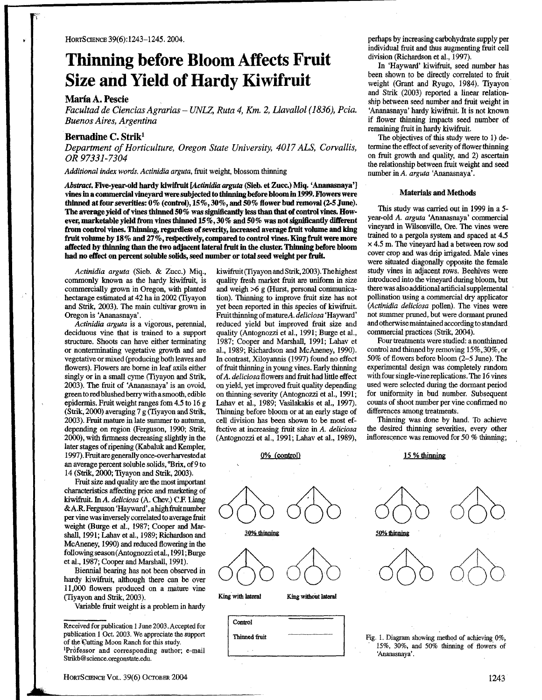# Thinning before Bloom Affects Fruit Size and Yield of Hardy Kiwifruit

## Maria A. Pescie

Facultad de Ciencias Agrarias - UNLZ, Ruta 4, Km. 2, Llavallol (1836), Pcia. Buenos Aires, Argentina

# Bernadine C. Strik'

Department of Horticulture, Oregon State University, 4017 ALS, Corvallis, OR 97331-7304

Additional index words. Actinidia arguta, fruit weight, blossom thinning

Abstract. Five-year-old hardy kiwifruit [Actinidia arguta (Sieb. et Zucc.) Miq. 'Ananasnaya'] vines in a commercial vineyard were subjected to thinning before bloom in 1999. Flowers were thinned at four severities:  $0\%$  (control),  $15\%, 30\%$ , and  $50\%$  flower bud removal (2-5 June). The average yield of vines thinned  $50\%$  was significantly less than that of control vines. However, marketable yield from vines thinned  $15\%, 30\%$  and  $50\%$  was not significantly different from control vines. Thinning, regardless of seventy, increased average fruit volume and king fruit volume by  $18\%$  and  $27\%$ , respectively, compared to control vines. King fruit were more affected by thinning than the two adjacent lateral fruit in the cluster. Thinning before bloom had no effect on percent soluble solids, seed number or total seed weight per fruit.

Actinidia arguta (Sieb. & Zucc.) Miq., commonly known as the hardy kiwifruit, is commercially grown in Oregon, with planted hectarage estimated at 42 ha in 2002(Tiyayon and Strik, 2003). The main cultivar grown in Oregon is 'Ananasnaya' .

Actinidia arguta is a vigorous, perennial, deciduous vine that is trained to a support structure. Shoots can have either terminating or nonterminating vegetative growth and are vegetative or mixed(producing both leaves and flowers). Flowers are borne in leaf axils either singly or in a small cyme (Tiyayon and Strik, 2003). The fruit of 'Ananasnaya' is an ovoid, green to red blushed berry with a smooth, edible epidermis. Fruit weight ranges fom 4.5 to 16 g (Strik, 2000) averaging 7 g (Tiyayon and Strik, 2003). Fruit mature in late summer to autumn, depending on region (Ferguson, 1990; Strik, 2000), with firmness decreasing slightly in the later stages of ripening (Kabaluk and Kempler, 1997).Fruitaregenemllyonce-overharvestedat an average percent soluble solids, 'Brix, of 9 to 14 (Strik, 2000; Tiyayon and Strik, 2003).

Fruit size and quality are the most important characteristics affecting price and marketing of kiwifruit. In A. deliciosa (A. Chev.) C.F. Liang & A.R. Ferguson 'Hayward', a high fruit number per vine was inversely correlated to average fruit weight (Burge et al., 1987; Cooper and Marshall, 1991; Lahav et al., 1989; Richardson and McAneney, 1990) and reduced flowering in the following season(Antognozzietal., 1991; Burge et al., 1987; Cooper and Marshall, 1991).

Biennial bearing has not been observed in hardy kiwifruit, although there can be over 11,000 flowers produced on a mature vine (Tiyayon and Strik, 2003).

Variable fruit weight is a problem in hardy

kiwifruit(Tiyayon andStrik, 2003). Thehighest quality fresh market fruit are uniform in size and weigh >6 g(Hurst, personal communication). Thinning to improve fruit size has not yet been reported in this species of kiwifruit. Fruitthinning of matureA. deliciosa'Hayward' reduced yield but improved fruit size and quality (Antognozzi et al., 1991; Burge et al., 1987; Cooper and Marshall, 1991; Lahav et al., 1989; Richardson and McAneney, 1990). In contrast, Xiloyannis (1997) found no effect of fruit thinning in young vines. Early thinning of A. deliciosa flowers and fruit had little effect on yield, yet improved fruit quality depending on thinning-severity (Antognozzi et al., 1991 ; Lahav et al., 1989; Vasilakakis et al., 1997). Thinning before bloom or at an early stage of cell division has been shown to be most effective at increasing fruit size in A. deliciosa (Antognozzi et al., 1991; Lahav et al., 1989),

## 0% fcontrol)

Thinned fruit



perhaps by increasing carbohydrate supply per individual fruit and thus augmenting fruit cell division (Richardson et al., 1997).

In 'Hayward' kiwifruit, seed number has been shown to be directly correlated to fruit weight (Grant and Ryugo, 1984). Tiyayon and Strik (2003) reported a linear relationship between seed number and fruit weight in 'Ananasnaya' hardy kiwifruit. It is not known if flower thinning impacts seed number of remaining fruit in hardy kiwifruit.

The objectives of this study were to 1) determine the effect of severity of flower thinning on fruit growth and quality, and 2) ascertain the relationship between fruit weight and seed number in A. arguta 'Ananasnaya'.

### Materials and Methods

This study was carried out in 1999 in a 5 year-old A. arguta 'Ananasnaya' commercial vineyard in Wllsonville, Ore. The vines were trained to a pergola system and spaced at 4.5 <sup>x</sup> 4.5 m. The vineyard had <sup>a</sup> between row sod cover crop and was drip irrigated. Male vines were situated diagonally opposite the female study vines in adjacent rows. Beehives were introduced into the vineyard during bloom, but therewas also additional artificial supplemental pollination using a commercial dry applicator (Actinidia deliciosa pollen). The vines were not summer pruned, but were dormant pruned and otherwisemaintained accordingto standard commercial practices (Strik, 2004).

Four treatments were studied: a nonthinned control and thinnedby removing 15%,,30%, or 50% of flowers before bloom (2-5 June). The experimental design was completely random with four single-vine replications . The 16 vines used were selected during the dormant period for uniformity in bud number. Subsequent counts of shoot number per vine confirmed no differences among treatments .

Thinning was done by hand. To achieve the desired thinning seventies, every other inflorescence was removed for 50 % thinning;

#### 15% thinnine



Fig. 1. Diagram showing method of achieving  $0\%$ . 15%, 30%, and 50% thinning of flowers of 'Ananasnaya'.

Received for publication 1 June 2003 . Accepted for publication <sup>1</sup> Oct. 2003 . We appreciate the support of the Cutting Moon Ranch for this study. 'Professor and corresponding author; e-mail Strikb@science.oregonstate.edu.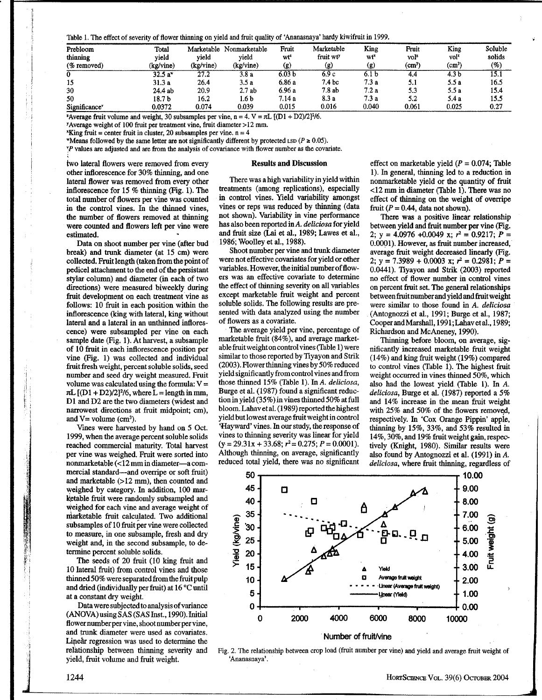Table 1. The effect of severity of flower thinning on yield and fruit quality of 'Ananasnaya' hardy kiwifruit in 1999.

| Prebloom                  | Total        | Marketable | Nonmarketable | Fruit           | Marketable            | King  | Fruit            | King         | Soluble             |
|---------------------------|--------------|------------|---------------|-----------------|-----------------------|-------|------------------|--------------|---------------------|
| thinning                  | vield        | vield      | vield         | wt <sup>2</sup> | fruit wt <sup>y</sup> | wť    | vol <sup>2</sup> | voľ*         | solids              |
| $(\%$ removed)            | (kg/vine)    | (kg/vine)  | (kg/vine)     | (g)             | (g)                   | (g)   | $\rm (cm^3)$     | $\rm (cm^3)$ | $\left( \% \right)$ |
| 0                         | $32.5 a^{*}$ | 27.2       | 3.8a          | 6.03 b          | 6.9c                  | 6.1 b | 4.4              | 4.3 b        | 15.1                |
| 15                        | 31.3 a       | 26.4       | 3.5a          | 6.86 a          | 7.4 <sub>bc</sub>     | 7.3a  | 5.1              | 5.5a         | 16.5                |
| 30                        | 24.4 ab      | 20.9       | 2.7ab         | 6.96 a          | 7.8 ab                | 7.2a  | 5.3              | 5.5 a        | 15.4                |
| 50                        | 18.7 b       | 16.2       | 1.6 b         | 7.14 a          | 8.3 a                 | 7.3a  | 5.2              | 5.4 a        | 15.5                |
| Significance <sup>v</sup> | 0.0372       | 0.074      | 0.039         | 0.015           | 0.016                 | 0.040 | 0.061            | 0.025        | 0.27                |

<sup>2</sup> Average fruit volume and weight, 30 subsamples per vine, n = 4. V =  $\pi L$  [(D1 + D2)/2]<sup>2</sup>/6.

'Average weight of <sup>100</sup> fruit per treatment vine, fruit diameter >12 mm.

King fruit = center fruit in cluster, 20 subsamples per vine.  $n = 4$ 

"Means followed by the same letter are not significantly different by protected LSD ( $P \ge 0.05$ ).

°P values are adjusted and are from the analysis of covariance with flower number as the covariate.

two lateral flowers were removed from every other inflorescence for 30% thinning, and one lateral flower was removed from every other inflorescence for  $15\%$  thinning (Fig. 1). The total number of flowers per vine was counted in the control vines. In the thinned vines, the number of flowers removed at thinning were counted and flowers left per vine were estimated. estimated. -

Data on shoot number per vine (after bud break) and trunk diameter (at 15 cm) were collected. Fruit length (taken from the point of pedicel attachment to the end of the persistant stylar column) and diameter (in each of two directions) were measured biweekly during fruit development on each treatment vine as follows: 10 fruit in each position within the inflorescence (king with lateral, king without lateral and a lateral in an unthinned inflorescence) were subsampled per vine on each sample date (Fig. 1). At harvest, a subsample of 10 fruit in each inflorescence position per vine (Fig. 1) was collected and individual fruit fresh weight, percent soluble solids, seed number and seed dry weight measured. Fruit volume was calculated using the formula:  $V=$  $\pi L$  [(D1 + D2)/2]<sup>2</sup>/6, where  $L =$  length in mm, Dl and D2 are the two diameters (widest and narrowest directions at fruit midpoint; cm), and  $V =$  volume (cm<sup>3</sup>).

Vines were harvested by hand on 5 Oct. 1999, when the average percent soluble solids reached commercial maturity. Total harvest per vine was weighed. Fruit were sorted into nonmarketable (<12 mmin diameter-a commercial standard-and overripe or soft fruit) and marketable (>12 mm), then counted and weighed by category. In addition, 100 marketable fruit were randomly subsampled and weighed for each vine and average weight of marketable fruit calculated. Two additional subsamples of 10 fruit per vine were collected to measure, in one subsample, fresh and dry weight and, in the second subsample, to determine percent soluble solids.

The seeds of 20 fruit (10 king fruit and 10 lateral fruit) from control vines and those thinned 50% were separated from the fruit pulp and dried (individually per fruit) at  $16^{\circ}$ C until at a constant dry weight.

Data were subjected to analysis of variance (ANOVA) using SAS (SAS Inst., 1990). Initial flowernumberpervine, shootnumberpervine, and trunk diameter were used as covariates. Linear regression was used to determine the relationship between thinning severity and yield, fruit volume and fruit weight.

#### Results and Discussion

There was ahigh variability in yield within treatments (among replications), especially in control vines. Yield variability amongst vines or reps was reduced by thinning (data not shown). Variability in vine performance has also been reported in A. deliciosa for yield and fruit size (Lai et al., 1989; Lawes et al., 1986; Woolley et al., 1988).

Shoot number per vine and trunk diameter were not effective covariates for yield or other variables. However, the initial numberof flowers was an effective covariate to determine the effect of thinning severity on all variables except marketable fruit weight and percent soluble solids . The following results are presented with data analyzed using the number of flowers as a covariate.

The average yield per vine, percentage of marketable fruit (84%), and average marketable fruitweightoncontrolvines (Table 1) were similar to those reported by Tiyayon and Strik (2003). Flower thinning vinesby 50% reduced yieldsignificantly from controlvines and from those thinned 15% (Table 1). In A. deliciosa, Burge et al. (1987) found a significant reduction in yield  $(35\%)$  in vines thinned 50% at full bloom. Lahav et al. (1989) reported the highest yield but lowest average fruit weight in control `Hayward' vines. In ourstudy, the response of vines to thinning severity was linear for yield  $(y= 29.31x + 33.68; r^2 = 0.275; P = 0.0001)$ . Although thinning, on average, significantly reduced total yield, there was no significant

effect on marketable yield  $(P = 0.074$ ; Table 1) . In general, thinning led to a reduction in nonmarketable yield or the quantity of fruit <12 mm in diameter (Table 1) . There was no effect of thinning on the weight of overripe fruit ( $P = 0.44$ , data not shown).

There was a positive linear relationship between yield and fruit number per vine (Fig. 2;  $y = 4.0976 + 0.0049$  x;  $r^2 = 0.9217$ ;  $P =$ 0.0001) . However, as fruit number increased, average fruit weight decreased linearly (Fig. 2;  $y = 7.3989 + 0.0003$  x;  $r^2 = 0.2981$ ;  $P =$ 0.0441) . Tiyayon and Strik (2003) reported no effect of flower number in control vines on percent fruit set. The general relationships betweenfruitnumberandyield andfruitweight were similar to those found in A. deliciosa (Antognozzi et al., 1991; Burge et al., 1987; Cooper and Marshall, 1991; Lahav et al., 1989; Richardson and McAneney, 1990).

Thinning before bloom, on average, significantly increased marketable fruit weight (14%) and king fruit weight (19%) compared to control vines (Table 1). The highest fruit weight occurred in vines thinned 50%, which also had the lowest yield (Table 1). In A. deliciosa, Burge et al. (1987) reported a 5% and 14% increase in the mean fruit weight with 25% and 50% of the flowers removed, respectively. In 'Cox Orange Pippin' apple, thinning by 15%, 33%, and 53% resulted in 14%, 30%, and 19% fruit weight gain, respectively (Knight, 1980). Similar results were also found by Antognozzi et al. (1991) in A. deliciosa, where fruit thinning, regardless of



Fig. 2. The relationship between crop load (fruit number per vine) and yield and average fruit weight of 'Ananasnava'.